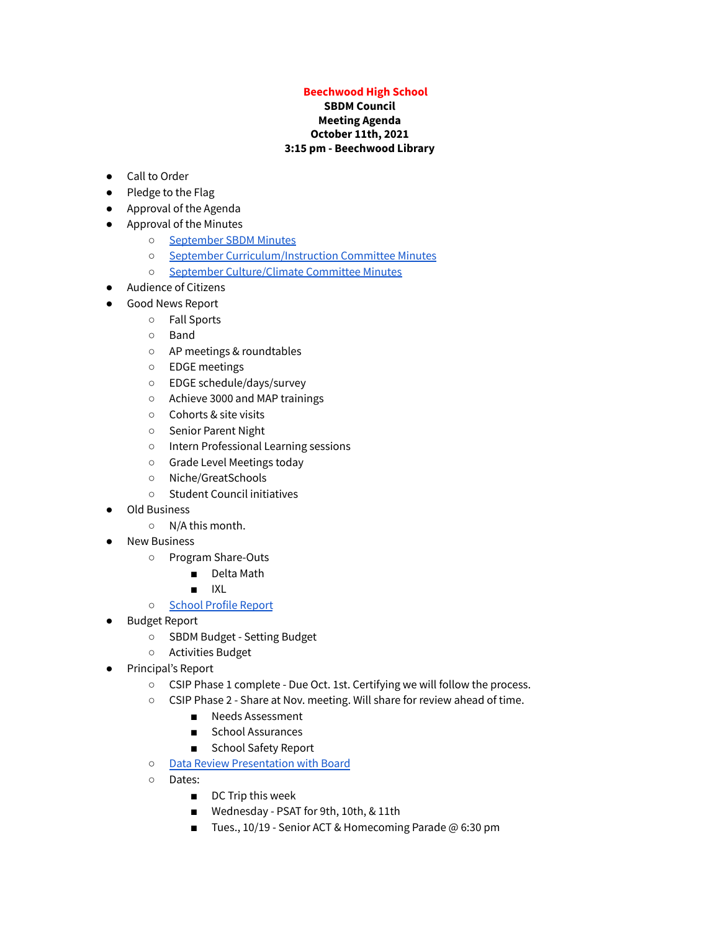## **Beechwood High School**

## **SBDM Council Meeting Agenda October 11th, 2021 3:15 pm - Beechwood Library**

- Call to Order
- Pledge to the Flag
- Approval of the Agenda
- Approval of the Minutes
	- [September](https://docs.google.com/document/d/1vgEKJsqaLuTj8Y5gMkW_bKqRiFBgXL0xduayCDpq9ng/edit?usp=sharing) SBDM Minutes
	- September [Curriculum/Instruction](https://docs.google.com/document/d/1Nz9dWAIR_IUmHHdDz7wMN-T0cejLpQtsSEyXtEL5r_Y/edit?usp=sharing) Committee Minutes
	- September [Culture/Climate](https://drive.google.com/file/d/1VR6rHkX5k4iB_cIvCJnan2fJziv6ZPan/view?usp=sharing) Committee Minutes
- Audience of Citizens
- Good News Report
	- Fall Sports
	- Band
	- AP meetings & roundtables
	- EDGE meetings
	- EDGE schedule/days/survey
	- Achieve 3000 and MAP trainings
	- Cohorts & site visits
	- Senior Parent Night
	- Intern Professional Learning sessions
	- Grade Level Meetings today
	- Niche/GreatSchools
	- Student Council initiatives
- **Old Business** 
	- N/A this month.
- **New Business** 
	- Program Share-Outs
		- Delta Math
		- IXL
	- [School](https://drive.google.com/file/d/1-1QYMKEbwzUgRDfIROAWRz0vf9SZmdyT/view?usp=sharing) Profile Report
- Budget Report
	- SBDM Budget Setting Budget
	- Activities Budget
- Principal's Report
	- CSIP Phase 1 complete Due Oct. 1st. Certifying we will follow the process.
	- CSIP Phase 2 Share at Nov. meeting. Will share for review ahead of time.
		- Needs Assessment
		- School Assurances
		- School Safety Report
	- Data Review [Presentation](https://docs.google.com/presentation/d/11lIfjwg_eMGvTuQDZkNVOYxLjpRvjyFuybDv1yCWzlw/edit?usp=sharing) with Board
	- Dates:
		- DC Trip this week
		- Wednesday PSAT for 9th, 10th, & 11th
		- Tues., 10/19 Senior ACT & Homecoming Parade @ 6:30 pm